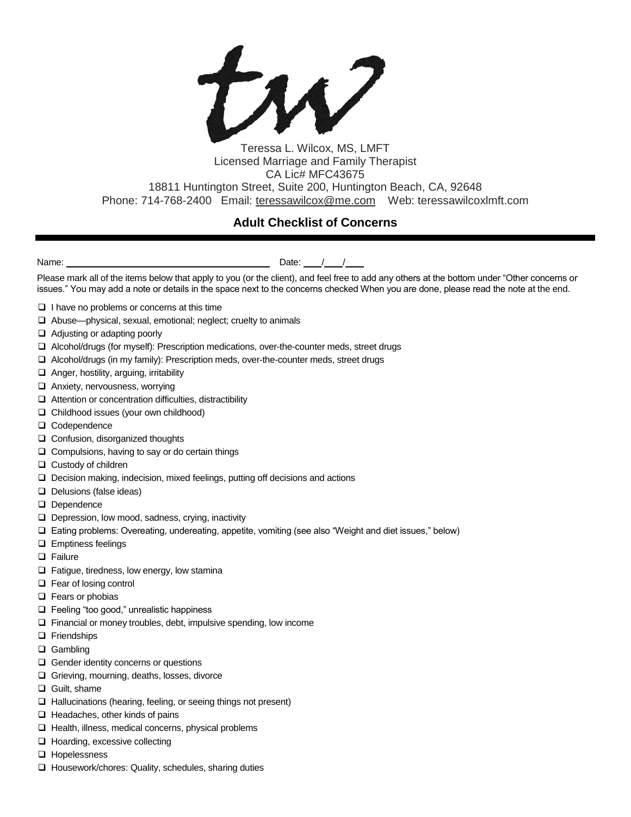tw?

## Teressa L. Wilcox, MS, LMFT Licensed Marriage and Family Therapist CA Lic# MFC43675 18811 Huntington Street, Suite 200, Huntington Beach, CA, 92648 Phone: 714-768-2400 Email: [teressawilcox@me.com](mailto:teressawilcox@me.com) Web: teressawilcoxlmft.com

## **Adult Checklist of Concerns**

Name:  $\blacksquare$ 

Please mark all of the items below that apply to you (or the client), and feel free to add any others at the bottom under "Other concerns or issues." You may add a note or details in the space next to the concerns checked When you are done, please read the note at the end.

- $\Box$  I have no problems or concerns at this time
- Abuse—physical, sexual, emotional; neglect; cruelty to animals
- □ Adjusting or adapting poorly
- Alcohol/drugs (for myself): Prescription medications, over-the-counter meds, street drugs
- $\Box$  Alcohol/drugs (in my family): Prescription meds, over-the-counter meds, street drugs
- $\Box$  Anger, hostility, arguing, irritability
- □ Anxiety, nervousness, worrying
- $\Box$  Attention or concentration difficulties, distractibility
- Childhood issues (your own childhood)
- O Codependence
- □ Confusion, disorganized thoughts
- $\Box$  Compulsions, having to say or do certain things
- □ Custody of children
- $\Box$  Decision making, indecision, mixed feelings, putting off decisions and actions
- $\Box$  Delusions (false ideas)
- Dependence
- $\Box$  Depression, low mood, sadness, crying, inactivity
- Eating problems: Overeating, undereating, appetite, vomiting (see also "Weight and diet issues," below)
- **Emptiness feelings**
- **D** Failure
- $\Box$  Fatigue, tiredness, low energy, low stamina
- □ Fear of losing control
- □ Fears or phobias
- □ Feeling "too good," unrealistic happiness
- $\Box$  Financial or money troubles, debt, impulsive spending, low income
- **D** Friendships
- □ Gambling
- Gender identity concerns or questions
- Grieving, mourning, deaths, losses, divorce
- **Q** Guilt, shame
- $\Box$  Hallucinations (hearing, feeling, or seeing things not present)
- $\Box$  Headaches, other kinds of pains
- $\Box$  Health, illness, medical concerns, physical problems
- □ Hoarding, excessive collecting
- **u** Hopelessness
- $\Box$  Housework/chores: Quality, schedules, sharing duties